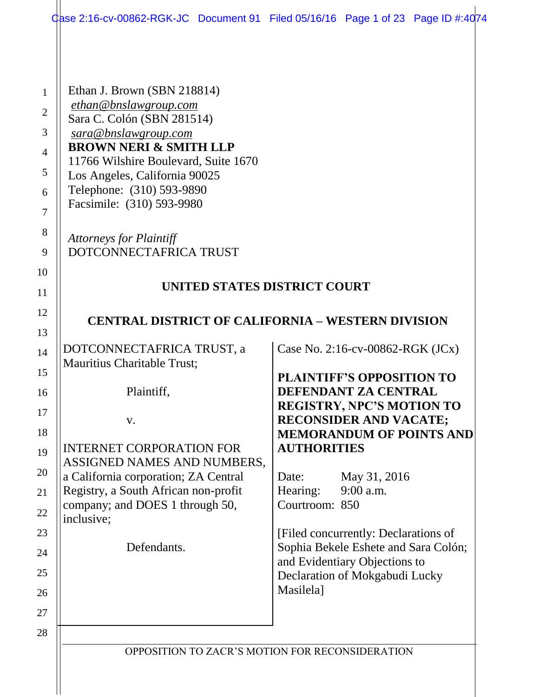| Gase 2:16-cv-00862-RGK-JC Document 91 Filed 05/16/16 Page 1 of 23 Page ID #:4074                                                                                                                                                                                                                                                               |                                                                                                                                                                                                                                                                                                |
|------------------------------------------------------------------------------------------------------------------------------------------------------------------------------------------------------------------------------------------------------------------------------------------------------------------------------------------------|------------------------------------------------------------------------------------------------------------------------------------------------------------------------------------------------------------------------------------------------------------------------------------------------|
| Ethan J. Brown (SBN 218814)<br>ethan@bnslawgroup.com<br>Sara C. Colón (SBN 281514)<br>sara@bnslawgroup.com<br><b>BROWN NERI &amp; SMITH LLP</b><br>11766 Wilshire Boulevard, Suite 1670<br>Los Angeles, California 90025<br>Telephone: (310) 593-9890<br>Facsimile: (310) 593-9980<br><b>Attorneys for Plaintiff</b><br>DOTCONNECTAFRICA TRUST |                                                                                                                                                                                                                                                                                                |
| UNITED STATES DISTRICT COURT                                                                                                                                                                                                                                                                                                                   |                                                                                                                                                                                                                                                                                                |
| <b>CENTRAL DISTRICT OF CALIFORNIA – WESTERN DIVISION</b>                                                                                                                                                                                                                                                                                       |                                                                                                                                                                                                                                                                                                |
| DOTCONNECTAFRICA TRUST, a<br>Mauritius Charitable Trust;<br>Plaintiff,<br>V.<br><b>INTERNET CORPORATION FOR</b><br>ASSIGNED NAMES AND NUMBERS,<br>a California corporation; ZA Central<br>Registry, a South African non-profit<br>company; and DOES 1 through 50,<br>inclusive;                                                                | Case No. 2:16-cv-00862-RGK (JCx)<br><b>PLAINTIFF'S OPPOSITION TO</b><br>DEFENDANT ZA CENTRAL<br><b>REGISTRY, NPC'S MOTION TO</b><br><b>RECONSIDER AND VACATE;</b><br><b>MEMORANDUM OF POINTS AND</b><br><b>AUTHORITIES</b><br>May 31, 2016<br>Date:<br>9:00 a.m.<br>Hearing:<br>Courtroom: 850 |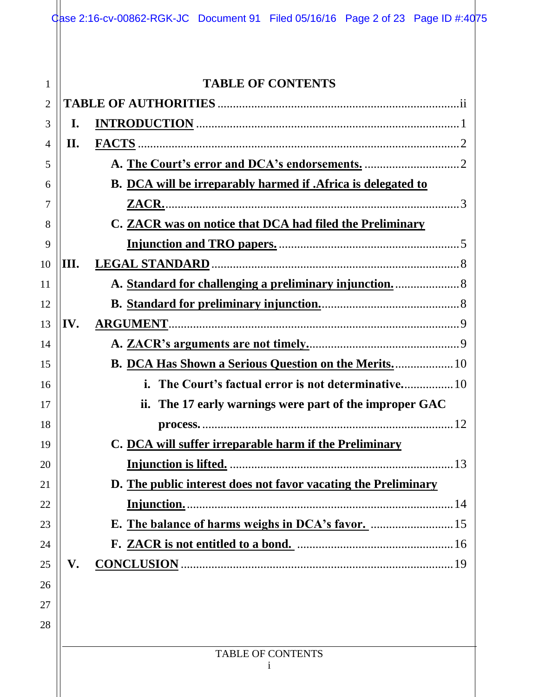|                |      | Case 2:16-cv-00862-RGK-JC Document 91 Filed 05/16/16 Page 2 of 23 Page ID #:4075 |
|----------------|------|----------------------------------------------------------------------------------|
|                |      |                                                                                  |
|                |      |                                                                                  |
| 1              |      | <b>TABLE OF CONTENTS</b>                                                         |
| $\overline{2}$ |      |                                                                                  |
| 3              | Ι.   |                                                                                  |
| 4              | II.  |                                                                                  |
| 5              |      |                                                                                  |
| 6              |      | B. DCA will be irreparably harmed if .Africa is delegated to                     |
| 7              |      | ZACR.                                                                            |
| 8              |      | C. ZACR was on notice that DCA had filed the Preliminary                         |
| 9              |      |                                                                                  |
| 10             | III. |                                                                                  |
| 11             |      | A. Standard for challenging a preliminary injunction 8                           |
| 12             |      |                                                                                  |
| 13             | IV.  |                                                                                  |
| 14             |      |                                                                                  |
| 15             |      | <b>B. DCA Has Shown a Serious Question on the Merits</b> 10                      |
| 16             |      |                                                                                  |
| 17             |      | ii. The 17 early warnings were part of the improper GAC                          |
| 18             |      |                                                                                  |
| 19             |      | C. DCA will suffer irreparable harm if the Preliminary                           |
| 20             |      |                                                                                  |
| 21             |      | D. The public interest does not favor vacating the Preliminary                   |
| 22             |      |                                                                                  |
| 23             |      |                                                                                  |
| 24             |      |                                                                                  |
| 25             | V.   |                                                                                  |
| 26             |      |                                                                                  |
| 27             |      |                                                                                  |
| 28             |      |                                                                                  |
|                |      | <b>TABLE OF CONTENTS</b>                                                         |
|                |      |                                                                                  |
|                |      |                                                                                  |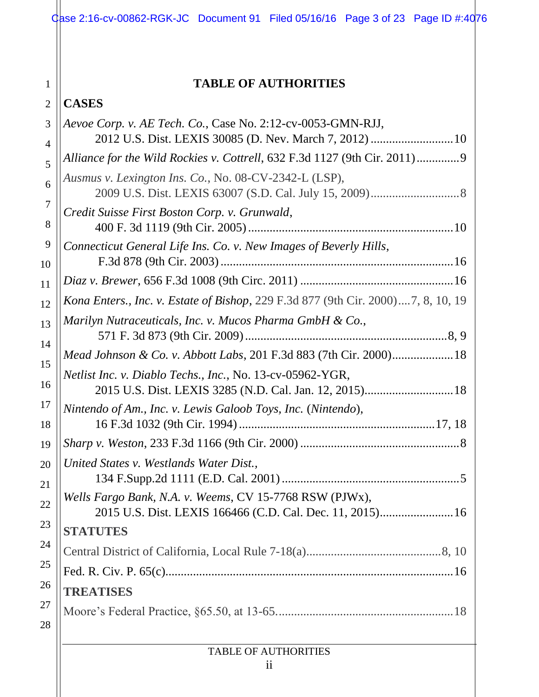$\frac{1}{2}$  Gase 2:16-cv-00862-RGK-JC Document 91 Filed 05/16/16 Page 3 of 23 Page ID #:40 76

### **TABLE OF AUTHORITIES**

# 2 **CASES**

| 3                   | Aevoe Corp. v. AE Tech. Co., Case No. 2:12-cv-0053-GMN-RJJ,                                                          |
|---------------------|----------------------------------------------------------------------------------------------------------------------|
| $\overline{4}$<br>5 | Alliance for the Wild Rockies v. Cottrell, 632 F.3d 1127 (9th Cir. 2011)9                                            |
| 6                   | Ausmus v. Lexington Ins. Co., No. 08-CV-2342-L (LSP),                                                                |
| 7<br>8              | Credit Suisse First Boston Corp. v. Grunwald,                                                                        |
| 9<br>10             | Connecticut General Life Ins. Co. v. New Images of Beverly Hills,                                                    |
| 11                  |                                                                                                                      |
| 12                  | Kona Enters., Inc. v. Estate of Bishop, 229 F.3d 877 (9th Cir. 2000)7, 8, 10, 19                                     |
| 13                  | Marilyn Nutraceuticals, Inc. v. Mucos Pharma GmbH & Co.,                                                             |
| 14<br>15            | Mead Johnson & Co. v. Abbott Labs, 201 F.3d 883 (7th Cir. 2000)18                                                    |
| 16                  | Netlist Inc. v. Diablo Techs., Inc., No. 13-cv-05962-YGR,                                                            |
| 17<br>18            | Nintendo of Am., Inc. v. Lewis Galoob Toys, Inc. (Nintendo),                                                         |
| 19                  |                                                                                                                      |
| 20<br>21            | United States v. Westlands Water Dist.,                                                                              |
| 22                  | Wells Fargo Bank, N.A. v. Weems, CV 15-7768 RSW (PJWx),<br>2015 U.S. Dist. LEXIS 166466 (C.D. Cal. Dec. 11, 2015) 16 |
| 23                  | <b>STATUTES</b>                                                                                                      |
| 24                  |                                                                                                                      |
| 25                  |                                                                                                                      |
| 26                  | <b>TREATISES</b>                                                                                                     |
| 27<br>28            |                                                                                                                      |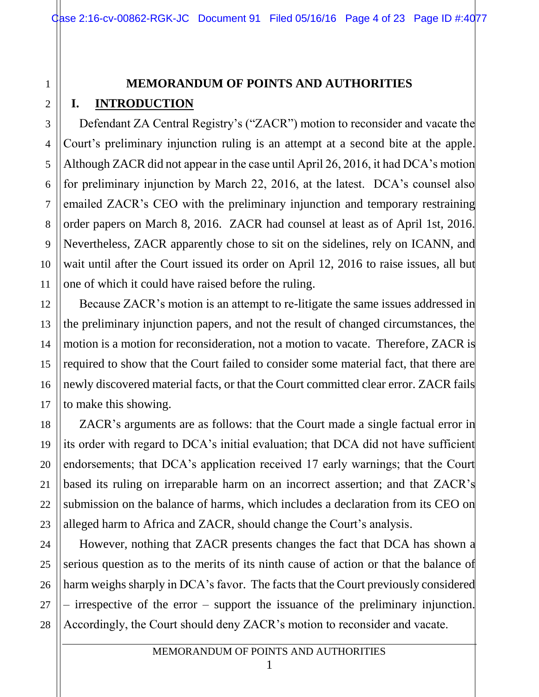# **MEMORANDUM OF POINTS AND AUTHORITIES I. INTRODUCTION**

Defendant ZA Central Registry's ("ZACR") motion to reconsider and vacate the Court's preliminary injunction ruling is an attempt at a second bite at the apple. Although ZACR did not appear in the case until April 26, 2016, it had DCA's motion for preliminary injunction by March 22, 2016, at the latest. DCA's counsel also emailed ZACR's CEO with the preliminary injunction and temporary restraining order papers on March 8, 2016. ZACR had counsel at least as of April 1st, 2016. Nevertheless, ZACR apparently chose to sit on the sidelines, rely on ICANN, and wait until after the Court issued its order on April 12, 2016 to raise issues, all but one of which it could have raised before the ruling.

Because ZACR's motion is an attempt to re-litigate the same issues addressed in the preliminary injunction papers, and not the result of changed circumstances, the motion is a motion for reconsideration, not a motion to vacate. Therefore, ZACR is required to show that the Court failed to consider some material fact, that there are newly discovered material facts, or that the Court committed clear error. ZACR fails to make this showing.

ZACR's arguments are as follows: that the Court made a single factual error in its order with regard to DCA's initial evaluation; that DCA did not have sufficient endorsements; that DCA's application received 17 early warnings; that the Court based its ruling on irreparable harm on an incorrect assertion; and that ZACR's submission on the balance of harms, which includes a declaration from its CEO on alleged harm to Africa and ZACR, should change the Court's analysis.

However, nothing that ZACR presents changes the fact that DCA has shown a serious question as to the merits of its ninth cause of action or that the balance of harm weighs sharply in DCA's favor. The facts that the Court previously considered – irrespective of the error – support the issuance of the preliminary injunction. Accordingly, the Court should deny ZACR's motion to reconsider and vacate.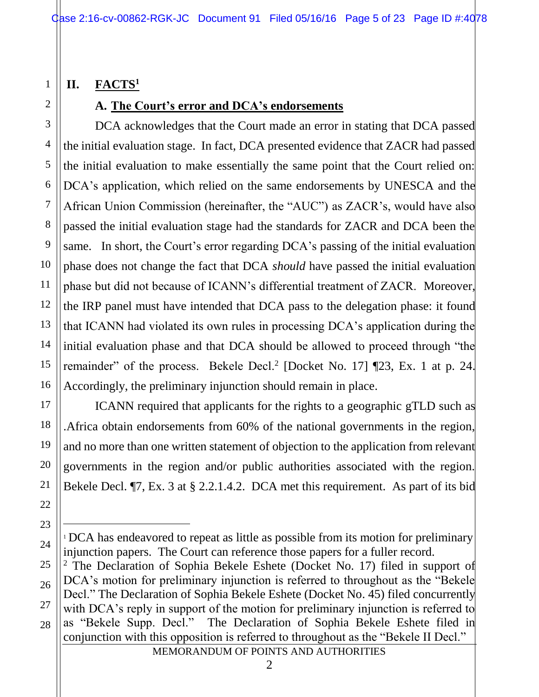**II. FACTS<sup>1</sup>**

1

### **A. The Court's error and DCA's endorsements**

DCA acknowledges that the Court made an error in stating that DCA passed the initial evaluation stage. In fact, DCA presented evidence that ZACR had passed the initial evaluation to make essentially the same point that the Court relied on: DCA's application, which relied on the same endorsements by UNESCA and the African Union Commission (hereinafter, the "AUC") as ZACR's, would have also passed the initial evaluation stage had the standards for ZACR and DCA been the same. In short, the Court's error regarding DCA's passing of the initial evaluation phase does not change the fact that DCA *should* have passed the initial evaluation phase but did not because of ICANN's differential treatment of ZACR. Moreover, the IRP panel must have intended that DCA pass to the delegation phase: it found that ICANN had violated its own rules in processing DCA's application during the initial evaluation phase and that DCA should be allowed to proceed through "the remainder" of the process. Bekele Decl.<sup>2</sup> [Docket No. 17]  $\mathbb{Z}^3$ , Ex. 1 at p. 24. Accordingly, the preliminary injunction should remain in place.

ICANN required that applicants for the rights to a geographic gTLD such as .Africa obtain endorsements from 60% of the national governments in the region, and no more than one written statement of objection to the application from relevant governments in the region and/or public authorities associated with the region. Bekele Decl. ¶7, Ex. 3 at § 2.2.1.4.2. DCA met this requirement. As part of its bid

MEMORANDUM OF POINTS AND AUTHORITIES

 $\overline{a}$ 

<sup>1</sup> DCA has endeavored to repeat as little as possible from its motion for preliminary injunction papers. The Court can reference those papers for a fuller record.

<sup>&</sup>lt;sup>2</sup> The Declaration of Sophia Bekele Eshete (Docket No. 17) filed in support of DCA's motion for preliminary injunction is referred to throughout as the "Bekele Decl." The Declaration of Sophia Bekele Eshete (Docket No. 45) filed concurrently with DCA's reply in support of the motion for preliminary injunction is referred to as "Bekele Supp. Decl." The Declaration of Sophia Bekele Eshete filed in conjunction with this opposition is referred to throughout as the "Bekele II Decl."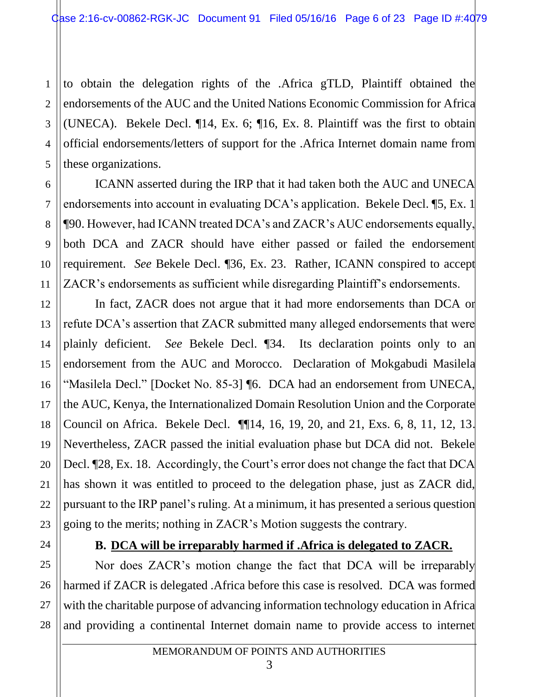1 2 3 4 5 to obtain the delegation rights of the .Africa gTLD, Plaintiff obtained the endorsements of the AUC and the United Nations Economic Commission for Africa (UNECA). Bekele Decl. ¶14, Ex. 6; ¶16, Ex. 8. Plaintiff was the first to obtain official endorsements/letters of support for the .Africa Internet domain name from these organizations.

ICANN asserted during the IRP that it had taken both the AUC and UNECA endorsements into account in evaluating DCA's application. Bekele Decl. [5, Ex. 1] ¶90. However, had ICANN treated DCA's and ZACR's AUC endorsements equally, both DCA and ZACR should have either passed or failed the endorsement requirement. *See* Bekele Decl. ¶36, Ex. 23. Rather, ICANN conspired to accept ZACR's endorsements as sufficient while disregarding Plaintiff's endorsements.

16 In fact, ZACR does not argue that it had more endorsements than DCA or refute DCA's assertion that ZACR submitted many alleged endorsements that were plainly deficient. *See* Bekele Decl. ¶34. Its declaration points only to an endorsement from the AUC and Morocco. Declaration of Mokgabudi Masilela "Masilela Decl." [Docket No. 85-3] ¶6. DCA had an endorsement from UNECA, the AUC, Kenya, the Internationalized Domain Resolution Union and the Corporate Council on Africa. Bekele Decl. ¶¶14, 16, 19, 20, and 21, Exs. 6, 8, 11, 12, 13. Nevertheless, ZACR passed the initial evaluation phase but DCA did not. Bekele Decl. ¶28, Ex. 18. Accordingly, the Court's error does not change the fact that DCA has shown it was entitled to proceed to the delegation phase, just as ZACR did, pursuant to the IRP panel's ruling. At a minimum, it has presented a serious question going to the merits; nothing in ZACR's Motion suggests the contrary.

24

6

7

8

9

10

11

12

13

14

15

17

18

19

20

21

22

23

25

26

27

28

#### **B. DCA will be irreparably harmed if .Africa is delegated to ZACR.**

Nor does ZACR's motion change the fact that DCA will be irreparably harmed if ZACR is delegated .Africa before this case is resolved. DCA was formed with the charitable purpose of advancing information technology education in Africa and providing a continental Internet domain name to provide access to internet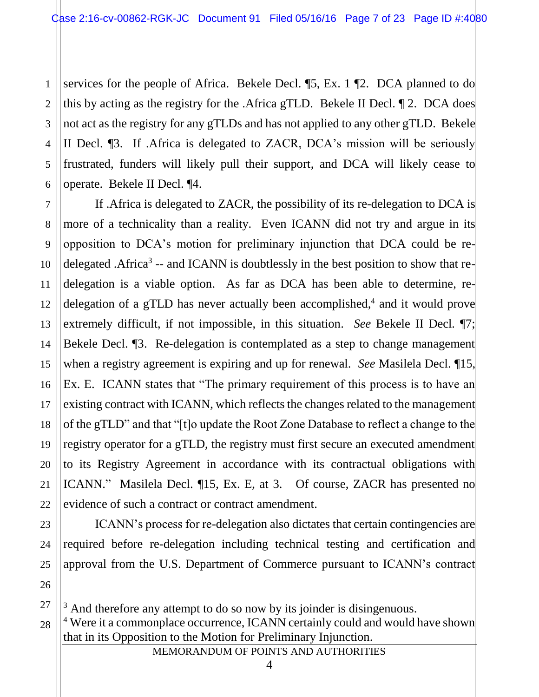3 4 6 services for the people of Africa. Bekele Decl. ¶5, Ex. 1 ¶2. DCA planned to do this by acting as the registry for the .Africa gTLD. Bekele II Decl. ¶ 2. DCA does not act as the registry for any gTLDs and has not applied to any other gTLD. Bekele II Decl. ¶3. If .Africa is delegated to ZACR, DCA's mission will be seriously frustrated, funders will likely pull their support, and DCA will likely cease to operate. Bekele II Decl. ¶4.

1

2

5

7

8

9

10

11

12

13

14

15

16

17

18

19

20

21

22

23

24

25

26

 $\overline{a}$ 

27

If .Africa is delegated to ZACR, the possibility of its re-delegation to DCA is more of a technicality than a reality. Even ICANN did not try and argue in its opposition to DCA's motion for preliminary injunction that DCA could be redelegated . Africa<sup>3</sup> -- and ICANN is doubtlessly in the best position to show that redelegation is a viable option. As far as DCA has been able to determine, redelegation of a gTLD has never actually been accomplished, 4 and it would prove extremely difficult, if not impossible, in this situation. *See* Bekele II Decl. ¶7; Bekele Decl. ¶3. Re-delegation is contemplated as a step to change management when a registry agreement is expiring and up for renewal. *See* Masilela Decl. ¶15, Ex. E. ICANN states that "The primary requirement of this process is to have an existing contract with ICANN, which reflects the changes related to the management of the gTLD" and that "[t]o update the Root Zone Database to reflect a change to the registry operator for a gTLD, the registry must first secure an executed amendment to its Registry Agreement in accordance with its contractual obligations with ICANN." Masilela Decl. ¶15, Ex. E, at 3. Of course, ZACR has presented no evidence of such a contract or contract amendment.

ICANN's process for re-delegation also dictates that certain contingencies are required before re-delegation including technical testing and certification and approval from the U.S. Department of Commerce pursuant to ICANN's contract

MEMORANDUM OF POINTS AND AUTHORITIES

 $3$  And therefore any attempt to do so now by its joinder is disingenuous.

<sup>28</sup> <sup>4</sup> Were it a commonplace occurrence, ICANN certainly could and would have shown that in its Opposition to the Motion for Preliminary Injunction.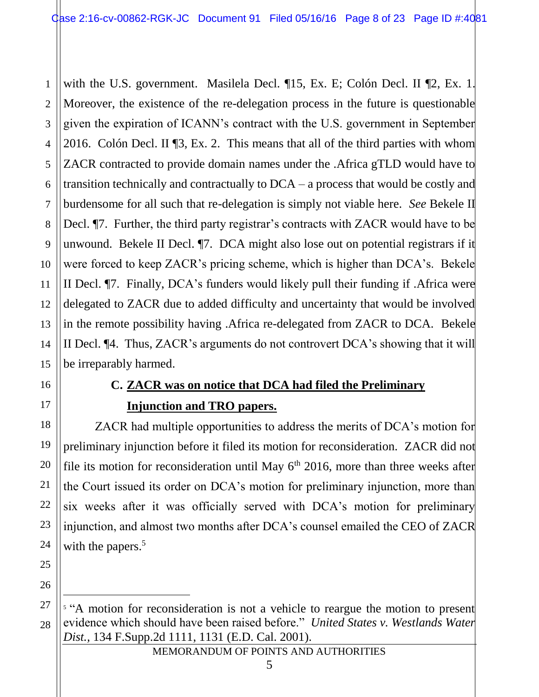1 2 3 4 5 6 7 8 9 10 11 12 13 14 15 with the U.S. government. Masilela Decl. ¶15, Ex. E; Colón Decl. II ¶2, Ex. 1. Moreover, the existence of the re-delegation process in the future is questionable given the expiration of ICANN's contract with the U.S. government in September 2016. Colón Decl. II ¶3, Ex. 2. This means that all of the third parties with whom ZACR contracted to provide domain names under the .Africa gTLD would have to transition technically and contractually to DCA – a process that would be costly and burdensome for all such that re-delegation is simply not viable here. *See* Bekele II Decl. ¶7. Further, the third party registrar's contracts with ZACR would have to be unwound. Bekele II Decl. ¶7. DCA might also lose out on potential registrars if it were forced to keep ZACR's pricing scheme, which is higher than DCA's. Bekele II Decl. ¶7. Finally, DCA's funders would likely pull their funding if .Africa were delegated to ZACR due to added difficulty and uncertainty that would be involved in the remote possibility having .Africa re-delegated from ZACR to DCA. Bekele II Decl. ¶4. Thus, ZACR's arguments do not controvert DCA's showing that it will be irreparably harmed.

16

17

18

19

20

21

22

#### **C. ZACR was on notice that DCA had filed the Preliminary**

#### **Injunction and TRO papers.**

ZACR had multiple opportunities to address the merits of DCA's motion for preliminary injunction before it filed its motion for reconsideration. ZACR did not file its motion for reconsideration until May  $6<sup>th</sup>$  2016, more than three weeks after the Court issued its order on DCA's motion for preliminary injunction, more than six weeks after it was officially served with DCA's motion for preliminary injunction, and almost two months after DCA's counsel emailed the CEO of ZACR with the papers.<sup>5</sup>

 $\overline{a}$ 

MEMORANDUM OF POINTS AND AUTHORITIES 5

<sup>28</sup> <sup>5</sup> "A motion for reconsideration is not a vehicle to reargue the motion to present evidence which should have been raised before." *United States v. Westlands Water Dist.,* 134 F.Supp.2d 1111, 1131 (E.D. Cal. 2001).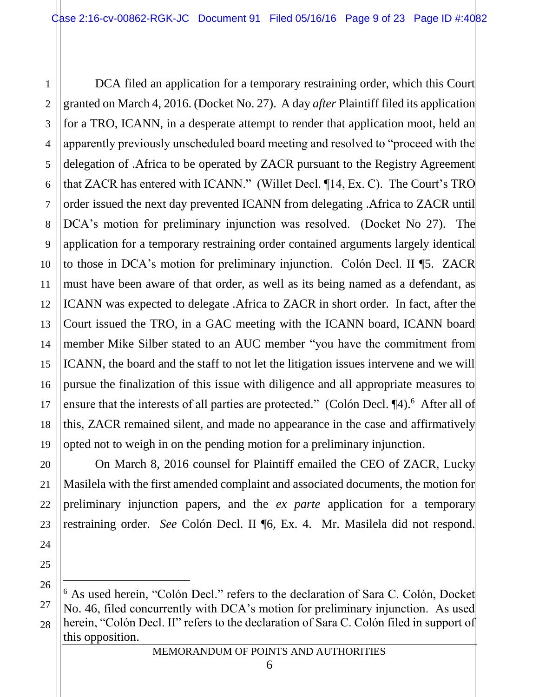1 2 3 4 5 6 7 8 9 10 11 12 13 14 15 16 17 18 19 DCA filed an application for a temporary restraining order, which this Court granted on March 4, 2016. (Docket No. 27). A day *after* Plaintiff filed its application for a TRO, ICANN, in a desperate attempt to render that application moot, held an apparently previously unscheduled board meeting and resolved to "proceed with the delegation of .Africa to be operated by ZACR pursuant to the Registry Agreement that ZACR has entered with ICANN." (Willet Decl. ¶14, Ex. C). The Court's TRO order issued the next day prevented ICANN from delegating .Africa to ZACR until DCA's motion for preliminary injunction was resolved. (Docket No 27). The application for a temporary restraining order contained arguments largely identical to those in DCA's motion for preliminary injunction. Colón Decl. II ¶5. ZACR must have been aware of that order, as well as its being named as a defendant, as ICANN was expected to delegate .Africa to ZACR in short order. In fact, after the Court issued the TRO, in a GAC meeting with the ICANN board, ICANN board member Mike Silber stated to an AUC member "you have the commitment from ICANN, the board and the staff to not let the litigation issues intervene and we will pursue the finalization of this issue with diligence and all appropriate measures to ensure that the interests of all parties are protected." (Colón Decl. [4].<sup>6</sup> After all of this, ZACR remained silent, and made no appearance in the case and affirmatively opted not to weigh in on the pending motion for a preliminary injunction.

On March 8, 2016 counsel for Plaintiff emailed the CEO of ZACR, Lucky Masilela with the first amended complaint and associated documents, the motion for preliminary injunction papers, and the *ex parte* application for a temporary restraining order. *See* Colón Decl. II ¶6, Ex. 4. Mr. Masilela did not respond.

24 25 26

 $\overline{a}$ 

20

21

22

23

27 28 <sup>6</sup> As used herein, "Colón Decl." refers to the declaration of Sara C. Colón, Docket No. 46, filed concurrently with DCA's motion for preliminary injunction. As used herein, "Colón Decl. II" refers to the declaration of Sara C. Colón filed in support of this opposition.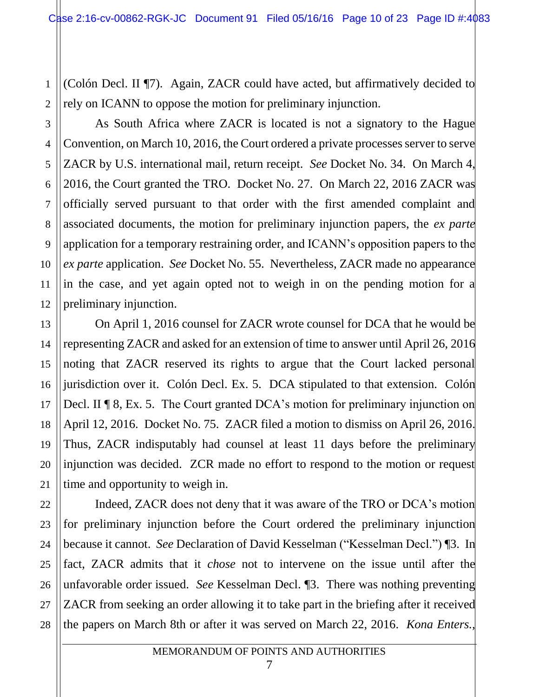2 (Colón Decl. II ¶7). Again, ZACR could have acted, but affirmatively decided to rely on ICANN to oppose the motion for preliminary injunction.

1

3

4

5

6

7

8

9

10

11

12

13

14

15

16

17

18

19

20

21

22

23

24

25

27

As South Africa where ZACR is located is not a signatory to the Hague Convention, on March 10, 2016, the Court ordered a private processes server to serve ZACR by U.S. international mail, return receipt. *See* Docket No. 34. On March 4, 2016, the Court granted the TRO. Docket No. 27. On March 22, 2016 ZACR was officially served pursuant to that order with the first amended complaint and associated documents, the motion for preliminary injunction papers, the *ex parte*  application for a temporary restraining order, and ICANN's opposition papers to the *ex parte* application. *See* Docket No. 55. Nevertheless, ZACR made no appearance in the case, and yet again opted not to weigh in on the pending motion for a preliminary injunction.

On April 1, 2016 counsel for ZACR wrote counsel for DCA that he would be representing ZACR and asked for an extension of time to answer until April 26, 2016 noting that ZACR reserved its rights to argue that the Court lacked personal jurisdiction over it. Colón Decl. Ex. 5. DCA stipulated to that extension. Colón Decl. II ¶ 8, Ex. 5. The Court granted DCA's motion for preliminary injunction on April 12, 2016. Docket No. 75. ZACR filed a motion to dismiss on April 26, 2016. Thus, ZACR indisputably had counsel at least 11 days before the preliminary injunction was decided. ZCR made no effort to respond to the motion or request time and opportunity to weigh in.

26 28 Indeed, ZACR does not deny that it was aware of the TRO or DCA's motion for preliminary injunction before the Court ordered the preliminary injunction because it cannot. *See* Declaration of David Kesselman ("Kesselman Decl.") ¶3. In fact, ZACR admits that it *chose* not to intervene on the issue until after the unfavorable order issued. *See* Kesselman Decl. ¶3. There was nothing preventing ZACR from seeking an order allowing it to take part in the briefing after it received the papers on March 8th or after it was served on March 22, 2016. *Kona Enters.,*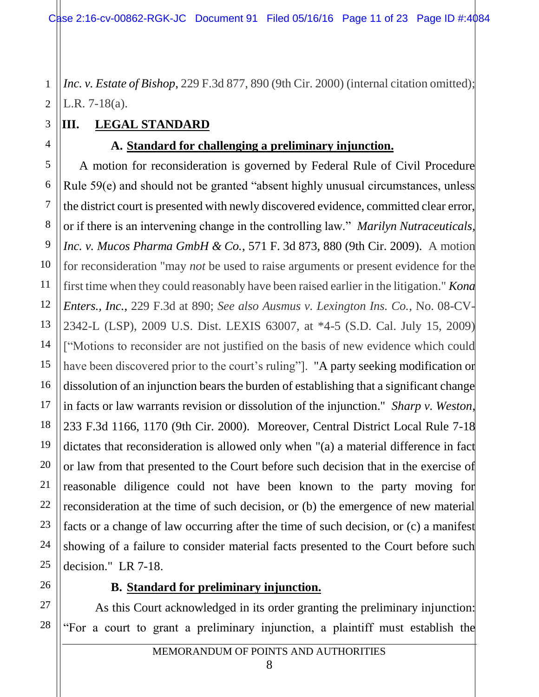1 2 *Inc. v. Estate of Bishop*, 229 F.3d 877, 890 (9th Cir. 2000) (internal citation omitted); L.R. 7-18(a).

#### **III. LEGAL STANDARD**

3

4

7

8

9

10

11

17

21

26

27

28

#### **A. Standard for challenging a preliminary injunction.**

5 6 12 13 14 15 16 18 19 20 22 23 24 25 A motion for reconsideration is governed by Federal Rule of Civil Procedure Rule 59(e) and should not be granted "absent highly unusual circumstances, unless the district court is presented with newly discovered evidence, committed clear error, or if there is an intervening change in the controlling law." *Marilyn Nutraceuticals, Inc. v. Mucos Pharma GmbH & Co.*, 571 F. 3d 873, 880 (9th Cir. 2009). A motion for reconsideration "may *not* be used to raise arguments or present evidence for the first time when they could reasonably have been raised earlier in the litigation." *Kona Enters., Inc.*, 229 F.3d at 890; *See also Ausmus v. Lexington Ins. Co.*, No. 08-CV-2342-L (LSP), 2009 U.S. Dist. LEXIS 63007, at \*4-5 (S.D. Cal. July 15, 2009) ["Motions to reconsider are not justified on the basis of new evidence which could have been discovered prior to the court's ruling". "A party seeking modification or dissolution of an injunction bears the burden of establishing that a significant change in facts or law warrants revision or dissolution of the injunction." *Sharp v. Weston*, 233 F.3d 1166, 1170 (9th Cir. 2000). Moreover, Central District Local Rule 7-18 dictates that reconsideration is allowed only when "(a) a material difference in fact or law from that presented to the Court before such decision that in the exercise of reasonable diligence could not have been known to the party moving for reconsideration at the time of such decision, or (b) the emergence of new material facts or a change of law occurring after the time of such decision, or (c) a manifest showing of a failure to consider material facts presented to the Court before such decision." LR 7-18.

#### **B. Standard for preliminary injunction.**

As this Court acknowledged in its order granting the preliminary injunction: "For a court to grant a preliminary injunction, a plaintiff must establish the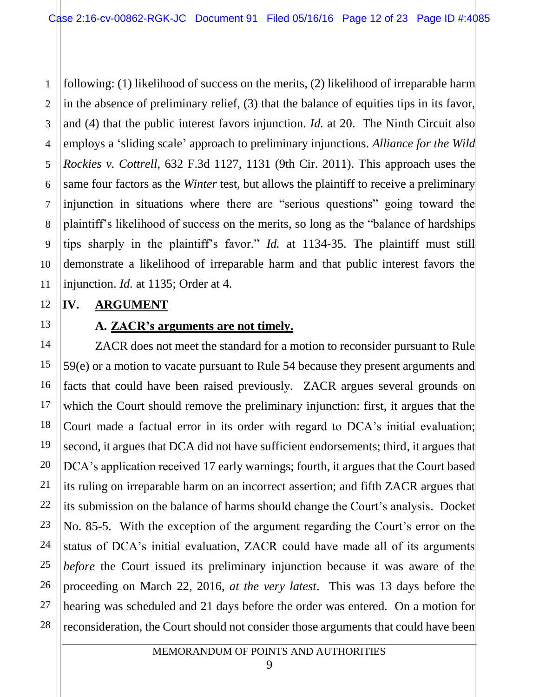1 2 3 4 5 6 7 8 9 10 11 following: (1) likelihood of success on the merits, (2) likelihood of irreparable harm in the absence of preliminary relief, (3) that the balance of equities tips in its favor, and (4) that the public interest favors injunction. *Id.* at 20. The Ninth Circuit also employs a 'sliding scale' approach to preliminary injunctions. *Alliance for the Wild Rockies v. Cottrell*, 632 F.3d 1127, 1131 (9th Cir. 2011). This approach uses the same four factors as the *Winter* test, but allows the plaintiff to receive a preliminary injunction in situations where there are "serious questions" going toward the plaintiff's likelihood of success on the merits, so long as the "balance of hardships tips sharply in the plaintiff's favor." *Id.* at 1134-35. The plaintiff must still demonstrate a likelihood of irreparable harm and that public interest favors the injunction. *Id.* at 1135; Order at 4.

### **IV. ARGUMENT**

12

13

21

#### **A. ZACR's arguments are not timely.**

14 15 16 17 18 19 20 22 23 24 25 26 27 28 ZACR does not meet the standard for a motion to reconsider pursuant to Rule 59(e) or a motion to vacate pursuant to Rule 54 because they present arguments and facts that could have been raised previously. ZACR argues several grounds on which the Court should remove the preliminary injunction: first, it argues that the Court made a factual error in its order with regard to DCA's initial evaluation; second, it argues that DCA did not have sufficient endorsements; third, it argues that DCA's application received 17 early warnings; fourth, it argues that the Court based its ruling on irreparable harm on an incorrect assertion; and fifth ZACR argues that its submission on the balance of harms should change the Court's analysis. Docket No. 85-5. With the exception of the argument regarding the Court's error on the status of DCA's initial evaluation, ZACR could have made all of its arguments *before* the Court issued its preliminary injunction because it was aware of the proceeding on March 22, 2016, *at the very latest*. This was 13 days before the hearing was scheduled and 21 days before the order was entered. On a motion for reconsideration, the Court should not consider those arguments that could have been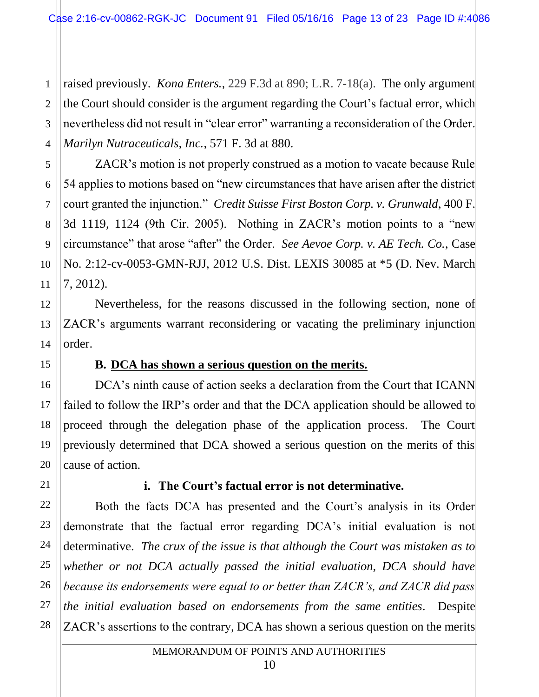1 2 3 4 raised previously. *Kona Enters.,* 229 F.3d at 890; L.R. 7-18(a). The only argument the Court should consider is the argument regarding the Court's factual error, which nevertheless did not result in "clear error" warranting a reconsideration of the Order. *Marilyn Nutraceuticals, Inc.*, 571 F. 3d at 880.

ZACR's motion is not properly construed as a motion to vacate because Rule 54 applies to motions based on "new circumstances that have arisen after the district court granted the injunction." *Credit Suisse First Boston Corp. v. Grunwald*, 400 F. 3d 1119, 1124 (9th Cir. 2005). Nothing in ZACR's motion points to a "new circumstance" that arose "after" the Order. *See Aevoe Corp. v. AE Tech. Co.*, Case No. 2:12-cv-0053-GMN-RJJ, 2012 U.S. Dist. LEXIS 30085 at \*5 (D. Nev. March 7, 2012).

Nevertheless, for the reasons discussed in the following section, none of ZACR's arguments warrant reconsidering or vacating the preliminary injunction order.

#### **B. DCA has shown a serious question on the merits.**

DCA's ninth cause of action seeks a declaration from the Court that ICANN failed to follow the IRP's order and that the DCA application should be allowed to proceed through the delegation phase of the application process. The Court previously determined that DCA showed a serious question on the merits of this cause of action.

**i. The Court's factual error is not determinative.**

Both the facts DCA has presented and the Court's analysis in its Order demonstrate that the factual error regarding DCA's initial evaluation is not determinative. *The crux of the issue is that although the Court was mistaken as to*  whether or not DCA actually passed the initial evaluation, DCA should have *because its endorsements were equal to or better than ZACR's, and ZACR did pass the initial evaluation based on endorsements from the same entities.* Despite ZACR's assertions to the contrary, DCA has shown a serious question on the merits

5

6

7

8

9

10

11

12

13

14

15

16

17

18

19

20

21

22

23

24

25

26

27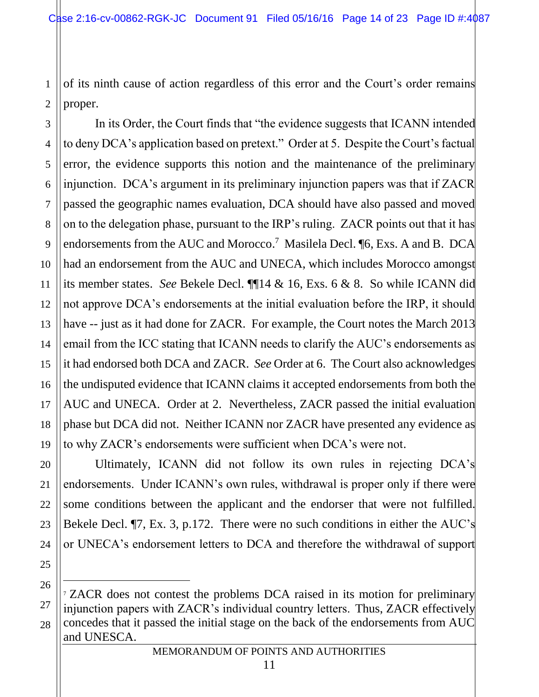1 2 of its ninth cause of action regardless of this error and the Court's order remains proper.

5

7

8

9

11

12

17

20

21

22

23

24

25

 $\overline{a}$ 

3 4 6 10 13 14 15 16 18 19 In its Order, the Court finds that "the evidence suggests that ICANN intended to deny DCA's application based on pretext." Order at 5. Despite the Court's factual error, the evidence supports this notion and the maintenance of the preliminary injunction. DCA's argument in its preliminary injunction papers was that if ZACR passed the geographic names evaluation, DCA should have also passed and moved on to the delegation phase, pursuant to the IRP's ruling. ZACR points out that it has endorsements from the AUC and Morocco.<sup>7</sup> Masilela Decl. [6, Exs. A and B. DCA had an endorsement from the AUC and UNECA, which includes Morocco amongst its member states. *See* Bekele Decl. ¶¶14 & 16, Exs. 6 & 8. So while ICANN did not approve DCA's endorsements at the initial evaluation before the IRP, it should have -- just as it had done for ZACR. For example, the Court notes the March 2013 email from the ICC stating that ICANN needs to clarify the AUC's endorsements as it had endorsed both DCA and ZACR. *See* Order at 6. The Court also acknowledges the undisputed evidence that ICANN claims it accepted endorsements from both the AUC and UNECA. Order at 2. Nevertheless, ZACR passed the initial evaluation phase but DCA did not. Neither ICANN nor ZACR have presented any evidence as to why ZACR's endorsements were sufficient when DCA's were not.

Ultimately, ICANN did not follow its own rules in rejecting DCA's endorsements. Under ICANN's own rules, withdrawal is proper only if there were some conditions between the applicant and the endorser that were not fulfilled. Bekele Decl. ¶7, Ex. 3, p.172. There were no such conditions in either the AUC's or UNECA's endorsement letters to DCA and therefore the withdrawal of support

26 27 28 <sup>7</sup> ZACR does not contest the problems DCA raised in its motion for preliminary injunction papers with ZACR's individual country letters. Thus, ZACR effectively concedes that it passed the initial stage on the back of the endorsements from AUC and UNESCA.

### MEMORANDUM OF POINTS AND AUTHORITIES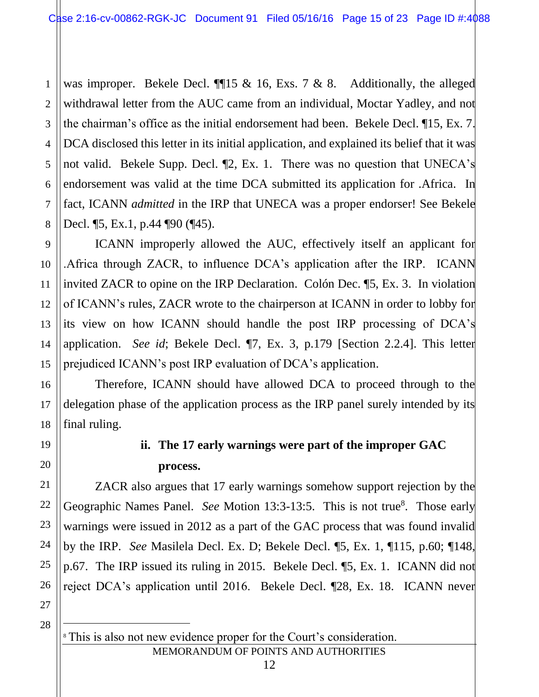1 2 3 4 5 6 7 8 was improper. Bekele Decl.  $\P$ [15 & 16, Exs. 7 & 8. Additionally, the alleged withdrawal letter from the AUC came from an individual, Moctar Yadley, and not the chairman's office as the initial endorsement had been. Bekele Decl. ¶15, Ex. 7. DCA disclosed this letter in its initial application, and explained its belief that it was not valid. Bekele Supp. Decl.  $\mathbb{Z}$ , Ex. 1. There was no question that UNECA's endorsement was valid at the time DCA submitted its application for .Africa. In fact, ICANN *admitted* in the IRP that UNECA was a proper endorser! See Bekele Decl. ¶5, Ex.1, p.44 ¶90 (¶45).

ICANN improperly allowed the AUC, effectively itself an applicant for .Africa through ZACR, to influence DCA's application after the IRP. ICANN invited ZACR to opine on the IRP Declaration. Colón Dec. ¶5, Ex. 3. In violation of ICANN's rules, ZACR wrote to the chairperson at ICANN in order to lobby for its view on how ICANN should handle the post IRP processing of DCA's application. *See id*; Bekele Decl. ¶7, Ex. 3, p.179 [Section 2.2.4]. This letter prejudiced ICANN's post IRP evaluation of DCA's application.

Therefore, ICANN should have allowed DCA to proceed through to the delegation phase of the application process as the IRP panel surely intended by its final ruling.

## 19

9

10

11

12

13

14

15

16

17

18

20

21

22

23

24

25

26

# **ii. The 17 early warnings were part of the improper GAC process.**

ZACR also argues that 17 early warnings somehow support rejection by the Geographic Names Panel. See Motion 13:3-13:5. This is not true<sup>8</sup>. Those early warnings were issued in 2012 as a part of the GAC process that was found invalid by the IRP. *See* Masilela Decl. Ex. D; Bekele Decl. ¶5, Ex. 1, ¶115, p.60; ¶148, p.67. The IRP issued its ruling in 2015. Bekele Decl. ¶5, Ex. 1. ICANN did not reject DCA's application until 2016. Bekele Decl. ¶28, Ex. 18. ICANN never

27 28

 $\overline{a}$ 

MEMORANDUM OF POINTS AND AUTHORITIES <sup>8</sup> This is also not new evidence proper for the Court's consideration.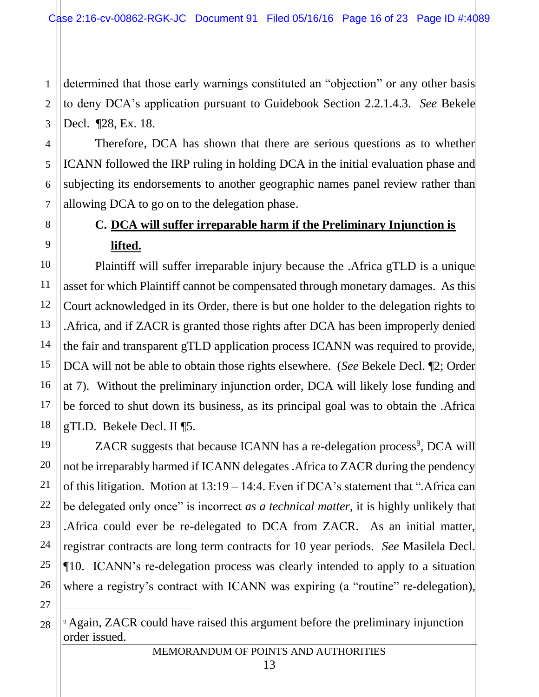1 2 3 determined that those early warnings constituted an "objection" or any other basis to deny DCA's application pursuant to Guidebook Section 2.2.1.4.3. *See* Bekele Decl. ¶28, Ex. 18.

Therefore, DCA has shown that there are serious questions as to whether ICANN followed the IRP ruling in holding DCA in the initial evaluation phase and subjecting its endorsements to another geographic names panel review rather than allowing DCA to go on to the delegation phase.

# **C. DCA will suffer irreparable harm if the Preliminary Injunction is lifted.**

Plaintiff will suffer irreparable injury because the .Africa gTLD is a unique asset for which Plaintiff cannot be compensated through monetary damages. As this Court acknowledged in its Order, there is but one holder to the delegation rights to .Africa, and if ZACR is granted those rights after DCA has been improperly denied the fair and transparent gTLD application process ICANN was required to provide, DCA will not be able to obtain those rights elsewhere. (*See* Bekele Decl. ¶2; Order at 7). Without the preliminary injunction order, DCA will likely lose funding and be forced to shut down its business, as its principal goal was to obtain the .Africa gTLD. Bekele Decl. II ¶5.

ZACR suggests that because ICANN has a re-delegation process<sup>9</sup>, DCA will not be irreparably harmed if ICANN delegates .Africa to ZACR during the pendency of this litigation. Motion at 13:19 – 14:4. Even if DCA's statement that ".Africa can be delegated only once" is incorrect *as a technical matter,* it is highly unlikely that .Africa could ever be re-delegated to DCA from ZACR. As an initial matter, registrar contracts are long term contracts for 10 year periods. *See* Masilela Decl. ¶10. ICANN's re-delegation process was clearly intended to apply to a situation where a registry's contract with ICANN was expiring (a "routine" re-delegation),

27

 $\overline{a}$ 

28

4

5

6

7

8

9

10

11

12

13

14

15

16

17

18

19

20

21

22

23

24

25

<sup>9</sup> Again, ZACR could have raised this argument before the preliminary injunction order issued.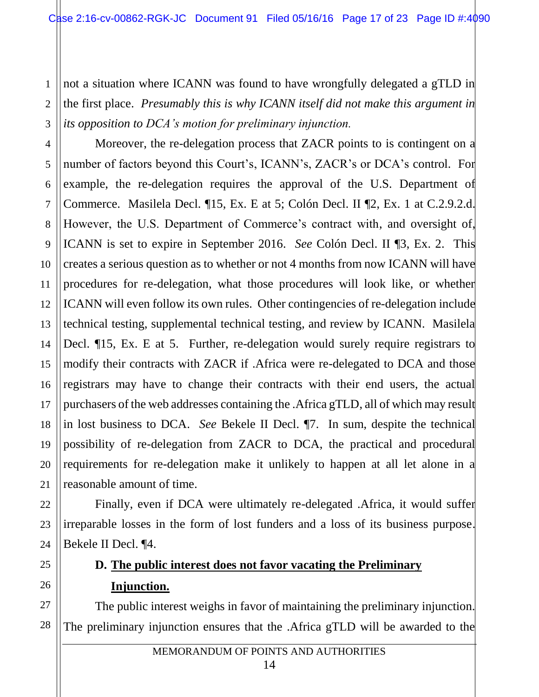1 2 3 not a situation where ICANN was found to have wrongfully delegated a gTLD in the first place. *Presumably this is why ICANN itself did not make this argument in its opposition to DCA's motion for preliminary injunction.* 

4 5 6 7 8 9 10 12 13 14 15 16 17 18 19 20 21 Moreover, the re-delegation process that ZACR points to is contingent on a number of factors beyond this Court's, ICANN's, ZACR's or DCA's control. For example, the re-delegation requires the approval of the U.S. Department of Commerce. Masilela Decl. ¶15, Ex. E at 5; Colón Decl. II ¶2, Ex. 1 at C.2.9.2.d. However, the U.S. Department of Commerce's contract with, and oversight of, ICANN is set to expire in September 2016. *See* Colón Decl. II ¶3, Ex. 2. This creates a serious question as to whether or not 4 months from now ICANN will have procedures for re-delegation, what those procedures will look like, or whether ICANN will even follow its own rules. Other contingencies of re-delegation include technical testing, supplemental technical testing, and review by ICANN. Masilela Decl.  $\P$ 15, Ex. E at 5. Further, re-delegation would surely require registrars to modify their contracts with ZACR if .Africa were re-delegated to DCA and those registrars may have to change their contracts with their end users, the actual purchasers of the web addresses containing the .Africa gTLD, all of which may result in lost business to DCA. *See* Bekele II Decl. ¶7. In sum, despite the technical possibility of re-delegation from ZACR to DCA, the practical and procedural requirements for re-delegation make it unlikely to happen at all let alone in a reasonable amount of time.

11

22

23

24

25

26

27

28

Finally, even if DCA were ultimately re-delegated .Africa, it would suffer irreparable losses in the form of lost funders and a loss of its business purpose. Bekele II Decl. ¶4.

# **D. The public interest does not favor vacating the Preliminary Injunction.**

The public interest weighs in favor of maintaining the preliminary injunction. The preliminary injunction ensures that the .Africa gTLD will be awarded to the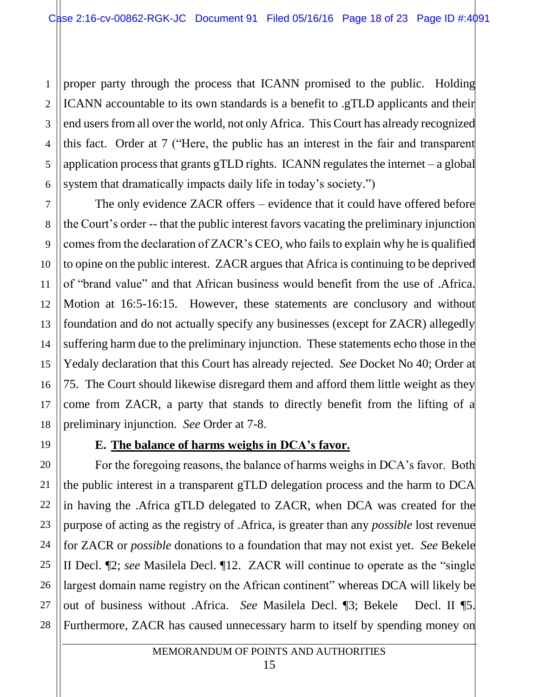1 2 3 4 5 6 proper party through the process that ICANN promised to the public. Holding ICANN accountable to its own standards is a benefit to .gTLD applicants and their end users from all over the world, not only Africa. This Court has already recognized this fact. Order at 7 ("Here, the public has an interest in the fair and transparent application process that grants gTLD rights. ICANN regulates the internet – a global system that dramatically impacts daily life in today's society.")

The only evidence ZACR offers – evidence that it could have offered before the Court's order -- that the public interest favors vacating the preliminary injunction comes from the declaration of ZACR's CEO, who fails to explain why he is qualified to opine on the public interest. ZACR argues that Africa is continuing to be deprived of "brand value" and that African business would benefit from the use of .Africa. Motion at 16:5-16:15. However, these statements are conclusory and without foundation and do not actually specify any businesses (except for ZACR) allegedly suffering harm due to the preliminary injunction. These statements echo those in the Yedaly declaration that this Court has already rejected. *See* Docket No 40; Order at 75. The Court should likewise disregard them and afford them little weight as they come from ZACR, a party that stands to directly benefit from the lifting of a preliminary injunction. *See* Order at 7-8.

7

8

9

10

11

12

13

14

15

16

17

18

19

20

21

22

23

24

25

26

27

28

#### **E. The balance of harms weighs in DCA's favor.**

For the foregoing reasons, the balance of harms weighs in DCA's favor. Both the public interest in a transparent gTLD delegation process and the harm to DCA in having the .Africa gTLD delegated to ZACR, when DCA was created for the purpose of acting as the registry of .Africa, is greater than any *possible* lost revenue for ZACR or *possible* donations to a foundation that may not exist yet. *See* Bekele II Decl. ¶2; *see* Masilela Decl. ¶12. ZACR will continue to operate as the "single largest domain name registry on the African continent" whereas DCA will likely be out of business without .Africa. *See* Masilela Decl. ¶3; Bekele Decl. II ¶5. Furthermore, ZACR has caused unnecessary harm to itself by spending money on

#### MEMORANDUM OF POINTS AND AUTHORITIES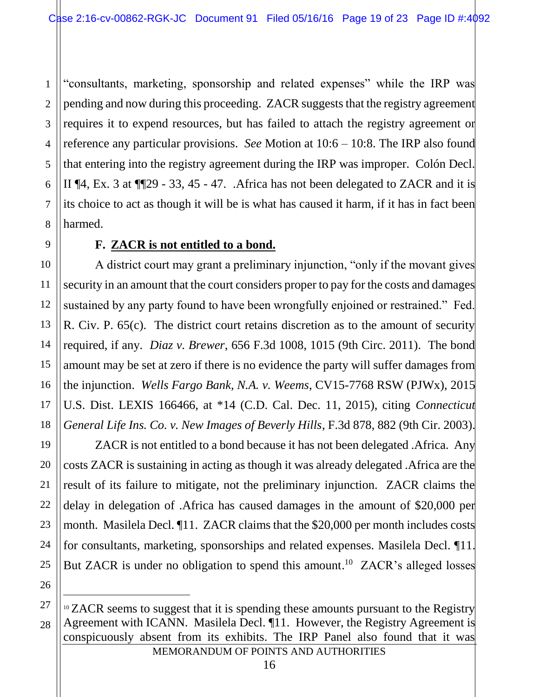1 2 3 4 5 6 7 8 "consultants, marketing, sponsorship and related expenses" while the IRP was pending and now during this proceeding. ZACR suggests that the registry agreement requires it to expend resources, but has failed to attach the registry agreement or reference any particular provisions. *See* Motion at 10:6 – 10:8. The IRP also found that entering into the registry agreement during the IRP was improper. Colón Decl. II  $\P$ 4, Ex. 3 at  $\P$  $\P$ 29 - 33, 45 - 47. Africa has not been delegated to ZACR and it is its choice to act as though it will be is what has caused it harm, if it has in fact been harmed.

#### **F. ZACR is not entitled to a bond.**

A district court may grant a preliminary injunction, "only if the movant gives security in an amount that the court considers proper to pay for the costs and damages sustained by any party found to have been wrongfully enjoined or restrained." Fed. R. Civ. P. 65(c). The district court retains discretion as to the amount of security required, if any. *Diaz v. Brewer*, 656 F.3d 1008, 1015 (9th Circ. 2011). The bond amount may be set at zero if there is no evidence the party will suffer damages from the injunction. *Wells Fargo Bank, N.A. v. Weems*, CV15-7768 RSW (PJWx), 2015 U.S. Dist. LEXIS 166466, at \*14 (C.D. Cal. Dec. 11, 2015), citing *Connecticut General Life Ins. Co. v. New Images of Beverly Hills*, F.3d 878, 882 (9th Cir. 2003).

ZACR is not entitled to a bond because it has not been delegated .Africa. Any costs ZACR is sustaining in acting as though it was already delegated .Africa are the result of its failure to mitigate, not the preliminary injunction. ZACR claims the delay in delegation of .Africa has caused damages in the amount of \$20,000 per month. Masilela Decl. ¶11. ZACR claims that the \$20,000 per month includes costs for consultants, marketing, sponsorships and related expenses. Masilela Decl. ¶11. But ZACR is under no obligation to spend this amount.<sup>10</sup> ZACR's alleged losses

26 27

 $\overline{a}$ 

9

10

11

12

13

14

15

16

17

18

19

20

21

22

23

24

<sup>28</sup> <sup>10</sup> ZACR seems to suggest that it is spending these amounts pursuant to the Registry Agreement with ICANN. Masilela Decl. ¶11. However, the Registry Agreement is conspicuously absent from its exhibits. The IRP Panel also found that it was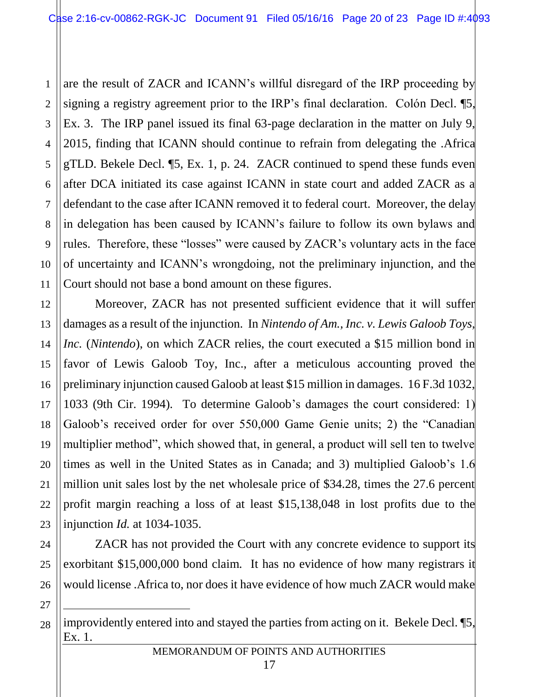1 2 3 4 5 6 7 8 9 10 11 are the result of ZACR and ICANN's willful disregard of the IRP proceeding by signing a registry agreement prior to the IRP's final declaration. Colón Decl. ¶5, Ex. 3. The IRP panel issued its final 63-page declaration in the matter on July 9, 2015, finding that ICANN should continue to refrain from delegating the .Africa gTLD. Bekele Decl. ¶5, Ex. 1, p. 24. ZACR continued to spend these funds even after DCA initiated its case against ICANN in state court and added ZACR as a defendant to the case after ICANN removed it to federal court. Moreover, the delay in delegation has been caused by ICANN's failure to follow its own bylaws and rules. Therefore, these "losses" were caused by ZACR's voluntary acts in the face of uncertainty and ICANN's wrongdoing, not the preliminary injunction, and the Court should not base a bond amount on these figures.

Moreover, ZACR has not presented sufficient evidence that it will suffer damages as a result of the injunction. In *Nintendo of Am., Inc. v. Lewis Galoob Toys, Inc.* (*Nintendo*), on which ZACR relies, the court executed a \$15 million bond in favor of Lewis Galoob Toy, Inc., after a meticulous accounting proved the preliminary injunction caused Galoob at least \$15 million in damages. 16 F.3d 1032, 1033 (9th Cir. 1994). To determine Galoob's damages the court considered: 1) Galoob's received order for over 550,000 Game Genie units; 2) the "Canadian multiplier method", which showed that, in general, a product will sell ten to twelve times as well in the United States as in Canada; and 3) multiplied Galoob's 1.6 million unit sales lost by the net wholesale price of \$34.28, times the 27.6 percent profit margin reaching a loss of at least \$15,138,048 in lost profits due to the injunction *Id.* at 1034-1035.

ZACR has not provided the Court with any concrete evidence to support its exorbitant \$15,000,000 bond claim. It has no evidence of how many registrars it would license .Africa to, nor does it have evidence of how much ZACR would make

27

 $\overline{a}$ 

12

13

14

15

16

17

18

19

20

21

22

23

24

25

28 improvidently entered into and stayed the parties from acting on it. Bekele Decl. ¶5, Ex. 1.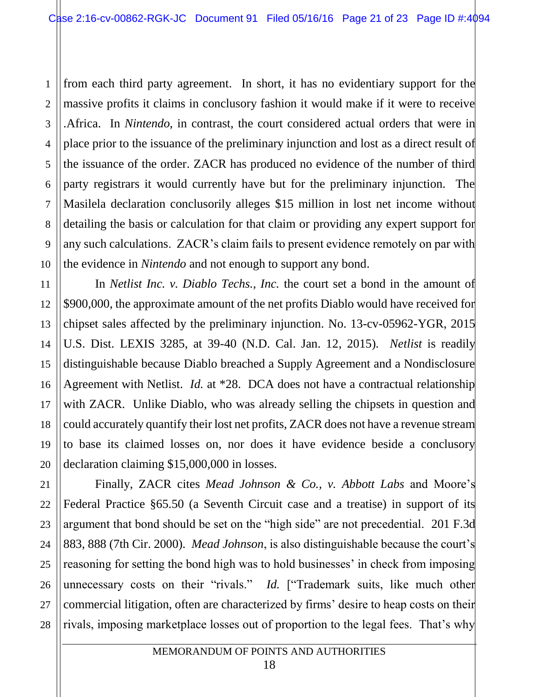1 2 3 4 5 6 7 8 9 10 from each third party agreement. In short, it has no evidentiary support for the massive profits it claims in conclusory fashion it would make if it were to receive .Africa. In *Nintendo*, in contrast, the court considered actual orders that were in place prior to the issuance of the preliminary injunction and lost as a direct result of the issuance of the order. ZACR has produced no evidence of the number of third party registrars it would currently have but for the preliminary injunction. The Masilela declaration conclusorily alleges \$15 million in lost net income without detailing the basis or calculation for that claim or providing any expert support for any such calculations. ZACR's claim fails to present evidence remotely on par with the evidence in *Nintendo* and not enough to support any bond.

In *Netlist Inc. v. Diablo Techs., Inc.* the court set a bond in the amount of \$900,000, the approximate amount of the net profits Diablo would have received for chipset sales affected by the preliminary injunction. No. 13-cv-05962-YGR, 2015 U.S. Dist. LEXIS 3285, at 39-40 (N.D. Cal. Jan. 12, 2015). *Netlist* is readily distinguishable because Diablo breached a Supply Agreement and a Nondisclosure Agreement with Netlist. *Id.* at \*28. DCA does not have a contractual relationship with ZACR. Unlike Diablo, who was already selling the chipsets in question and could accurately quantify their lost net profits, ZACR does not have a revenue stream to base its claimed losses on, nor does it have evidence beside a conclusory declaration claiming \$15,000,000 in losses.

11

12

13

14

15

16

17

18

19

20

21

22

23

24

25

27

26 28 Finally, ZACR cites *Mead Johnson & Co., v. Abbott Labs* and Moore's Federal Practice §65.50 (a Seventh Circuit case and a treatise) in support of its argument that bond should be set on the "high side" are not precedential. 201 F.3d 883, 888 (7th Cir. 2000)*. Mead Johnson*, is also distinguishable because the court's reasoning for setting the bond high was to hold businesses' in check from imposing unnecessary costs on their "rivals." *Id.* ["Trademark suits, like much other commercial litigation, often are characterized by firms' desire to heap costs on their rivals, imposing marketplace losses out of proportion to the legal fees. That's why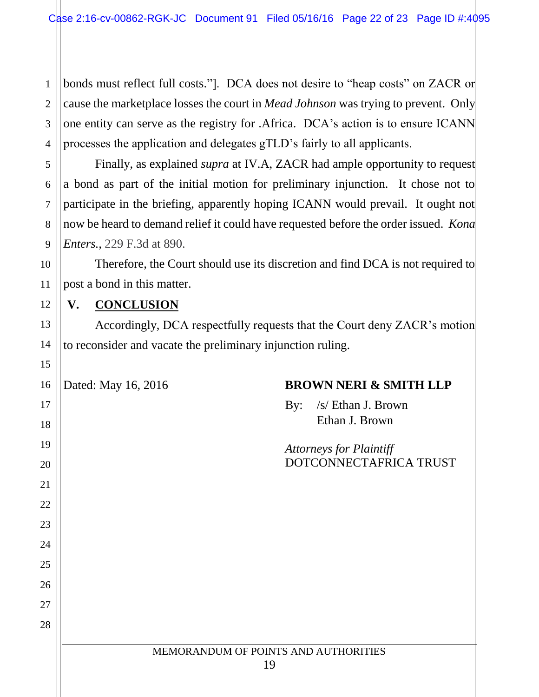1 2 3 4 bonds must reflect full costs."]. DCA does not desire to "heap costs" on ZACR or cause the marketplace losses the court in *Mead Johnson* was trying to prevent. Only one entity can serve as the registry for .Africa. DCA's action is to ensure ICANN processes the application and delegates gTLD's fairly to all applicants.

Finally, as explained *supra* at IV.A, ZACR had ample opportunity to request a bond as part of the initial motion for preliminary injunction. It chose not to participate in the briefing, apparently hoping ICANN would prevail. It ought not now be heard to demand relief it could have requested before the order issued. *Kona Enters.,* 229 F.3d at 890.

Therefore, the Court should use its discretion and find DCA is not required to post a bond in this matter.

#### **V. CONCLUSION**

5

6

7

8

9

10

11

12

13

14

15

16

17

18

19

20

21

22

23

24

25

26

27

28

Accordingly, DCA respectfully requests that the Court deny ZACR's motion to reconsider and vacate the preliminary injunction ruling.

#### Dated: May 16, 2016 **BROWN NERI & SMITH LLP**

By: /s/ Ethan J. Brown Ethan J. Brown

*Attorneys for Plaintiff* DOTCONNECTAFRICA TRUST